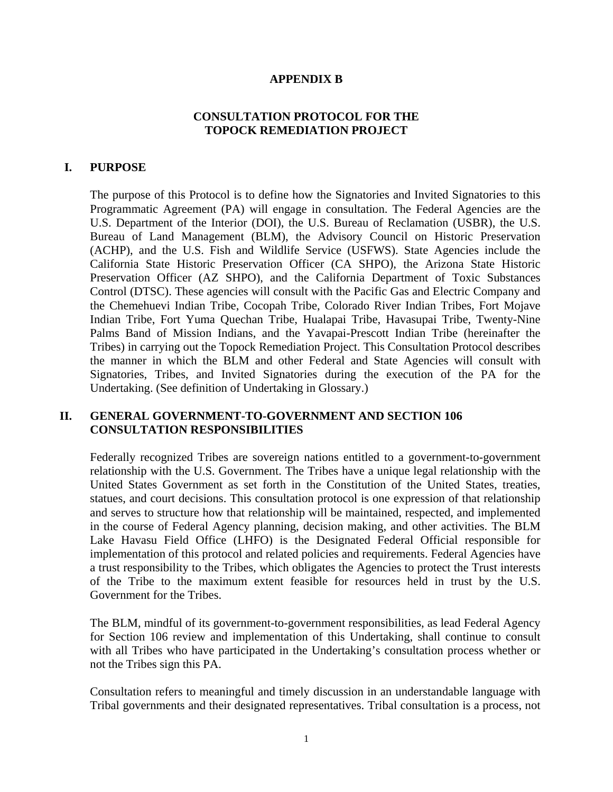### **APPENDIX B**

## **CONSULTATION PROTOCOL FOR THE TOPOCK REMEDIATION PROJECT**

## **I. PURPOSE**

The purpose of this Protocol is to define how the Signatories and Invited Signatories to this Programmatic Agreement (PA) will engage in consultation. The Federal Agencies are the U.S. Department of the Interior (DOI), the U.S. Bureau of Reclamation (USBR), the U.S. Bureau of Land Management (BLM), the Advisory Council on Historic Preservation (ACHP), and the U.S. Fish and Wildlife Service (USFWS). State Agencies include the California State Historic Preservation Officer (CA SHPO), the Arizona State Historic Preservation Officer (AZ SHPO), and the California Department of Toxic Substances Control (DTSC). These agencies will consult with the Pacific Gas and Electric Company and the Chemehuevi Indian Tribe, Cocopah Tribe, Colorado River Indian Tribes, Fort Mojave Indian Tribe, Fort Yuma Quechan Tribe, Hualapai Tribe, Havasupai Tribe, Twenty-Nine Palms Band of Mission Indians, and the Yavapai-Prescott Indian Tribe (hereinafter the Tribes) in carrying out the Topock Remediation Project. This Consultation Protocol describes the manner in which the BLM and other Federal and State Agencies will consult with Signatories, Tribes, and Invited Signatories during the execution of the PA for the Undertaking. (See definition of Undertaking in Glossary.)

### **II. GENERAL GOVERNMENT-TO-GOVERNMENT AND SECTION 106 CONSULTATION RESPONSIBILITIES**

Federally recognized Tribes are sovereign nations entitled to a government-to-government relationship with the U.S. Government. The Tribes have a unique legal relationship with the United States Government as set forth in the Constitution of the United States, treaties, statues, and court decisions. This consultation protocol is one expression of that relationship and serves to structure how that relationship will be maintained, respected, and implemented in the course of Federal Agency planning, decision making, and other activities. The BLM Lake Havasu Field Office (LHFO) is the Designated Federal Official responsible for implementation of this protocol and related policies and requirements. Federal Agencies have a trust responsibility to the Tribes, which obligates the Agencies to protect the Trust interests of the Tribe to the maximum extent feasible for resources held in trust by the U.S. Government for the Tribes.

The BLM, mindful of its government-to-government responsibilities, as lead Federal Agency for Section 106 review and implementation of this Undertaking, shall continue to consult with all Tribes who have participated in the Undertaking's consultation process whether or not the Tribes sign this PA.

Consultation refers to meaningful and timely discussion in an understandable language with Tribal governments and their designated representatives. Tribal consultation is a process, not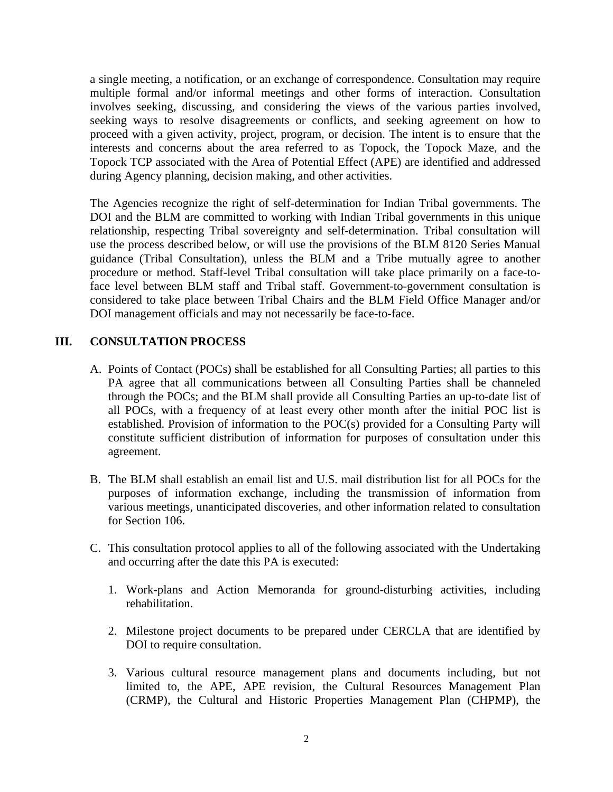a single meeting, a notification, or an exchange of correspondence. Consultation may require multiple formal and/or informal meetings and other forms of interaction. Consultation involves seeking, discussing, and considering the views of the various parties involved, seeking ways to resolve disagreements or conflicts, and seeking agreement on how to proceed with a given activity, project, program, or decision. The intent is to ensure that the interests and concerns about the area referred to as Topock, the Topock Maze, and the Topock TCP associated with the Area of Potential Effect (APE) are identified and addressed during Agency planning, decision making, and other activities.

The Agencies recognize the right of self-determination for Indian Tribal governments. The DOI and the BLM are committed to working with Indian Tribal governments in this unique relationship, respecting Tribal sovereignty and self-determination. Tribal consultation will use the process described below, or will use the provisions of the BLM 8120 Series Manual guidance (Tribal Consultation), unless the BLM and a Tribe mutually agree to another procedure or method. Staff-level Tribal consultation will take place primarily on a face-toface level between BLM staff and Tribal staff. Government-to-government consultation is considered to take place between Tribal Chairs and the BLM Field Office Manager and/or DOI management officials and may not necessarily be face-to-face.

# **III. CONSULTATION PROCESS**

- A. Points of Contact (POCs) shall be established for all Consulting Parties; all parties to this PA agree that all communications between all Consulting Parties shall be channeled through the POCs; and the BLM shall provide all Consulting Parties an up-to-date list of all POCs, with a frequency of at least every other month after the initial POC list is established. Provision of information to the POC(s) provided for a Consulting Party will constitute sufficient distribution of information for purposes of consultation under this agreement.
- B. The BLM shall establish an email list and U.S. mail distribution list for all POCs for the purposes of information exchange, including the transmission of information from various meetings, unanticipated discoveries, and other information related to consultation for Section 106.
- C. This consultation protocol applies to all of the following associated with the Undertaking and occurring after the date this PA is executed:
	- 1. Work-plans and Action Memoranda for ground-disturbing activities, including rehabilitation.
	- 2. Milestone project documents to be prepared under CERCLA that are identified by DOI to require consultation.
	- 3. Various cultural resource management plans and documents including, but not limited to, the APE, APE revision, the Cultural Resources Management Plan (CRMP), the Cultural and Historic Properties Management Plan (CHPMP), the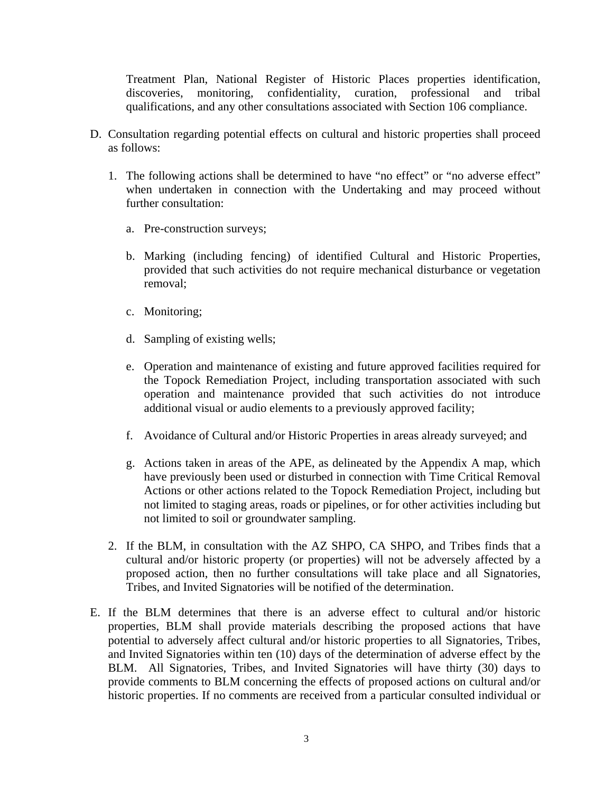Treatment Plan, National Register of Historic Places properties identification, discoveries, monitoring, confidentiality, curation, professional and tribal qualifications, and any other consultations associated with Section 106 compliance.

- D. Consultation regarding potential effects on cultural and historic properties shall proceed as follows:
	- 1. The following actions shall be determined to have "no effect" or "no adverse effect" when undertaken in connection with the Undertaking and may proceed without further consultation:
		- a. Pre-construction surveys;
		- b. Marking (including fencing) of identified Cultural and Historic Properties, provided that such activities do not require mechanical disturbance or vegetation removal;
		- c. Monitoring;
		- d. Sampling of existing wells;
		- e. Operation and maintenance of existing and future approved facilities required for the Topock Remediation Project, including transportation associated with such operation and maintenance provided that such activities do not introduce additional visual or audio elements to a previously approved facility;
		- f. Avoidance of Cultural and/or Historic Properties in areas already surveyed; and
		- g. Actions taken in areas of the APE, as delineated by the Appendix A map, which have previously been used or disturbed in connection with Time Critical Removal Actions or other actions related to the Topock Remediation Project, including but not limited to staging areas, roads or pipelines, or for other activities including but not limited to soil or groundwater sampling.
	- 2. If the BLM, in consultation with the AZ SHPO, CA SHPO, and Tribes finds that a cultural and/or historic property (or properties) will not be adversely affected by a proposed action, then no further consultations will take place and all Signatories, Tribes, and Invited Signatories will be notified of the determination.
- E. If the BLM determines that there is an adverse effect to cultural and/or historic properties, BLM shall provide materials describing the proposed actions that have potential to adversely affect cultural and/or historic properties to all Signatories, Tribes, and Invited Signatories within ten (10) days of the determination of adverse effect by the BLM. All Signatories, Tribes, and Invited Signatories will have thirty (30) days to provide comments to BLM concerning the effects of proposed actions on cultural and/or historic properties. If no comments are received from a particular consulted individual or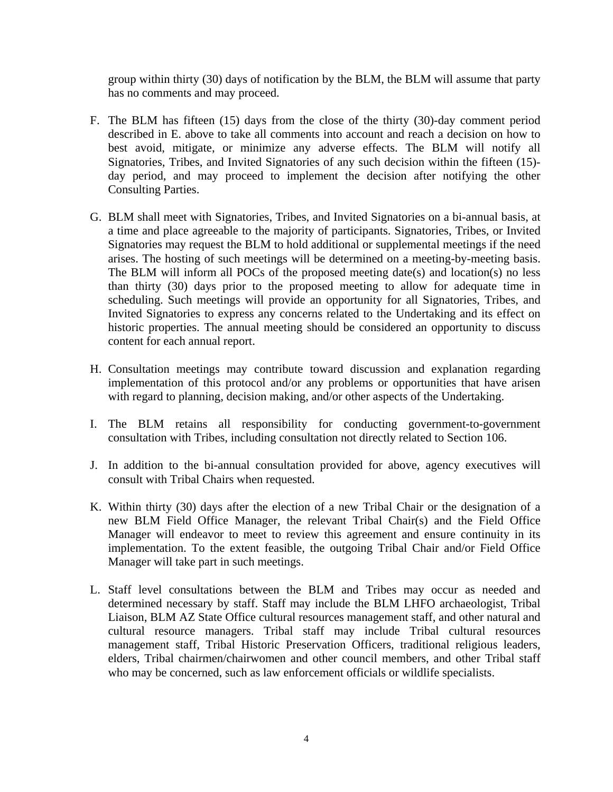group within thirty (30) days of notification by the BLM, the BLM will assume that party has no comments and may proceed.

- F. The BLM has fifteen (15) days from the close of the thirty (30)-day comment period described in E. above to take all comments into account and reach a decision on how to best avoid, mitigate, or minimize any adverse effects. The BLM will notify all Signatories, Tribes, and Invited Signatories of any such decision within the fifteen (15) day period, and may proceed to implement the decision after notifying the other Consulting Parties.
- G. BLM shall meet with Signatories, Tribes, and Invited Signatories on a bi-annual basis, at a time and place agreeable to the majority of participants. Signatories, Tribes, or Invited Signatories may request the BLM to hold additional or supplemental meetings if the need arises. The hosting of such meetings will be determined on a meeting-by-meeting basis. The BLM will inform all POCs of the proposed meeting date(s) and location(s) no less than thirty (30) days prior to the proposed meeting to allow for adequate time in scheduling. Such meetings will provide an opportunity for all Signatories, Tribes, and Invited Signatories to express any concerns related to the Undertaking and its effect on historic properties. The annual meeting should be considered an opportunity to discuss content for each annual report.
- H. Consultation meetings may contribute toward discussion and explanation regarding implementation of this protocol and/or any problems or opportunities that have arisen with regard to planning, decision making, and/or other aspects of the Undertaking.
- I. The BLM retains all responsibility for conducting government-to-government consultation with Tribes, including consultation not directly related to Section 106.
- J. In addition to the bi-annual consultation provided for above, agency executives will consult with Tribal Chairs when requested.
- K. Within thirty (30) days after the election of a new Tribal Chair or the designation of a new BLM Field Office Manager, the relevant Tribal Chair(s) and the Field Office Manager will endeavor to meet to review this agreement and ensure continuity in its implementation. To the extent feasible, the outgoing Tribal Chair and/or Field Office Manager will take part in such meetings.
- L. Staff level consultations between the BLM and Tribes may occur as needed and determined necessary by staff. Staff may include the BLM LHFO archaeologist, Tribal Liaison, BLM AZ State Office cultural resources management staff, and other natural and cultural resource managers. Tribal staff may include Tribal cultural resources management staff, Tribal Historic Preservation Officers, traditional religious leaders, elders, Tribal chairmen/chairwomen and other council members, and other Tribal staff who may be concerned, such as law enforcement officials or wildlife specialists.